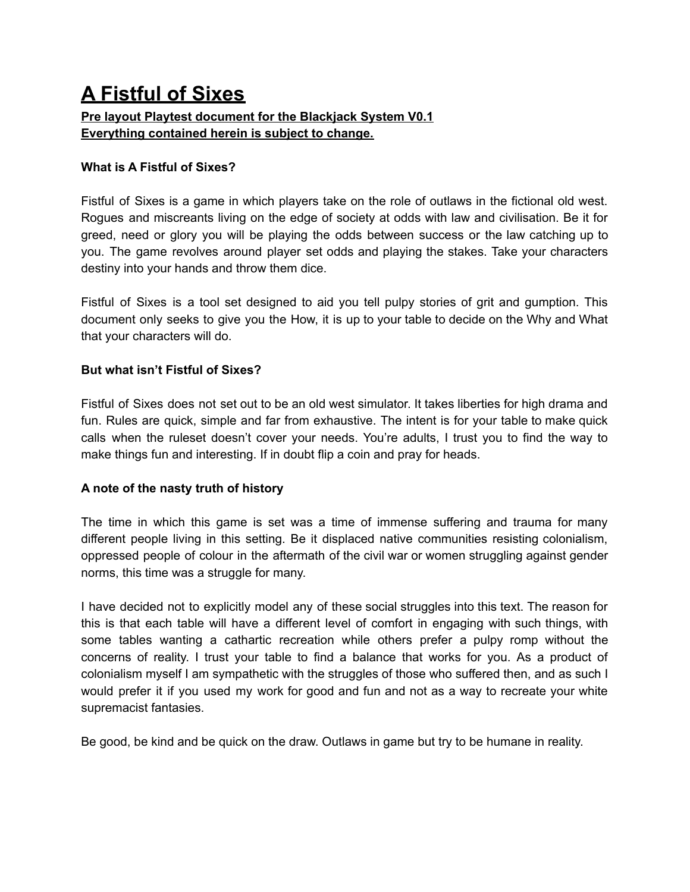# **A Fistful of Sixes**

# **Pre layout Playtest document for the Blackjack System V0.1 Everything contained herein is subject to change.**

# **What is A Fistful of Sixes?**

Fistful of Sixes is a game in which players take on the role of outlaws in the fictional old west. Rogues and miscreants living on the edge of society at odds with law and civilisation. Be it for greed, need or glory you will be playing the odds between success or the law catching up to you. The game revolves around player set odds and playing the stakes. Take your characters destiny into your hands and throw them dice.

Fistful of Sixes is a tool set designed to aid you tell pulpy stories of grit and gumption. This document only seeks to give you the How, it is up to your table to decide on the Why and What that your characters will do.

# **But what isn't Fistful of Sixes?**

Fistful of Sixes does not set out to be an old west simulator. It takes liberties for high drama and fun. Rules are quick, simple and far from exhaustive. The intent is for your table to make quick calls when the ruleset doesn't cover your needs. You're adults, I trust you to find the way to make things fun and interesting. If in doubt flip a coin and pray for heads.

# **A note of the nasty truth of history**

The time in which this game is set was a time of immense suffering and trauma for many different people living in this setting. Be it displaced native communities resisting colonialism, oppressed people of colour in the aftermath of the civil war or women struggling against gender norms, this time was a struggle for many.

I have decided not to explicitly model any of these social struggles into this text. The reason for this is that each table will have a different level of comfort in engaging with such things, with some tables wanting a cathartic recreation while others prefer a pulpy romp without the concerns of reality. I trust your table to find a balance that works for you. As a product of colonialism myself I am sympathetic with the struggles of those who suffered then, and as such I would prefer it if you used my work for good and fun and not as a way to recreate your white supremacist fantasies.

Be good, be kind and be quick on the draw. Outlaws in game but try to be humane in reality.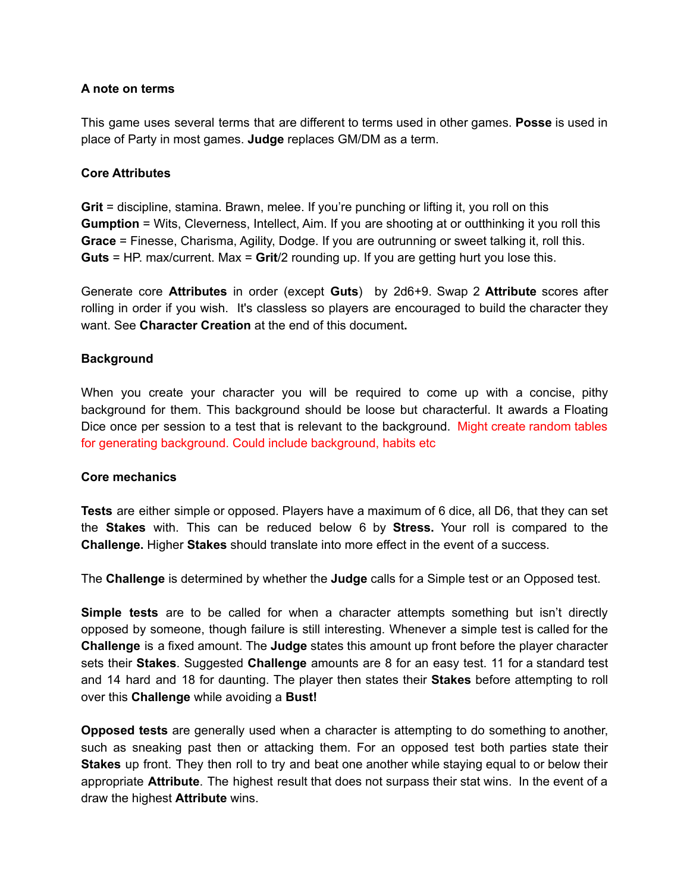# **A note on terms**

This game uses several terms that are different to terms used in other games. **Posse** is used in place of Party in most games. **Judge** replaces GM/DM as a term.

## **Core Attributes**

**Grit** = discipline, stamina. Brawn, melee. If you're punching or lifting it, you roll on this **Gumption** = Wits, Cleverness, Intellect, Aim. If you are shooting at or outthinking it you roll this **Grace** = Finesse, Charisma, Agility, Dodge. If you are outrunning or sweet talking it, roll this. **Guts** = HP. max/current. Max = **Grit**/2 rounding up. If you are getting hurt you lose this.

Generate core **Attributes** in order (except **Guts**) by 2d6+9. Swap 2 **Attribute** scores after rolling in order if you wish. It's classless so players are encouraged to build the character they want. See **Character Creation** at the end of this document**.**

## **Background**

When you create your character you will be required to come up with a concise, pithy background for them. This background should be loose but characterful. It awards a Floating Dice once per session to a test that is relevant to the background. Might create random tables for generating background. Could include background, habits etc

## **Core mechanics**

**Tests** are either simple or opposed. Players have a maximum of 6 dice, all D6, that they can set the **Stakes** with. This can be reduced below 6 by **Stress.** Your roll is compared to the **Challenge.** Higher **Stakes** should translate into more effect in the event of a success.

The **Challenge** is determined by whether the **Judge** calls for a Simple test or an Opposed test.

**Simple tests** are to be called for when a character attempts something but isn't directly opposed by someone, though failure is still interesting. Whenever a simple test is called for the **Challenge** is a fixed amount. The **Judge** states this amount up front before the player character sets their **Stakes**. Suggested **Challenge** amounts are 8 for an easy test. 11 for a standard test and 14 hard and 18 for daunting. The player then states their **Stakes** before attempting to roll over this **Challenge** while avoiding a **Bust!**

**Opposed tests** are generally used when a character is attempting to do something to another, such as sneaking past then or attacking them. For an opposed test both parties state their **Stakes** up front. They then roll to try and beat one another while staying equal to or below their appropriate **Attribute**. The highest result that does not surpass their stat wins. In the event of a draw the highest **Attribute** wins.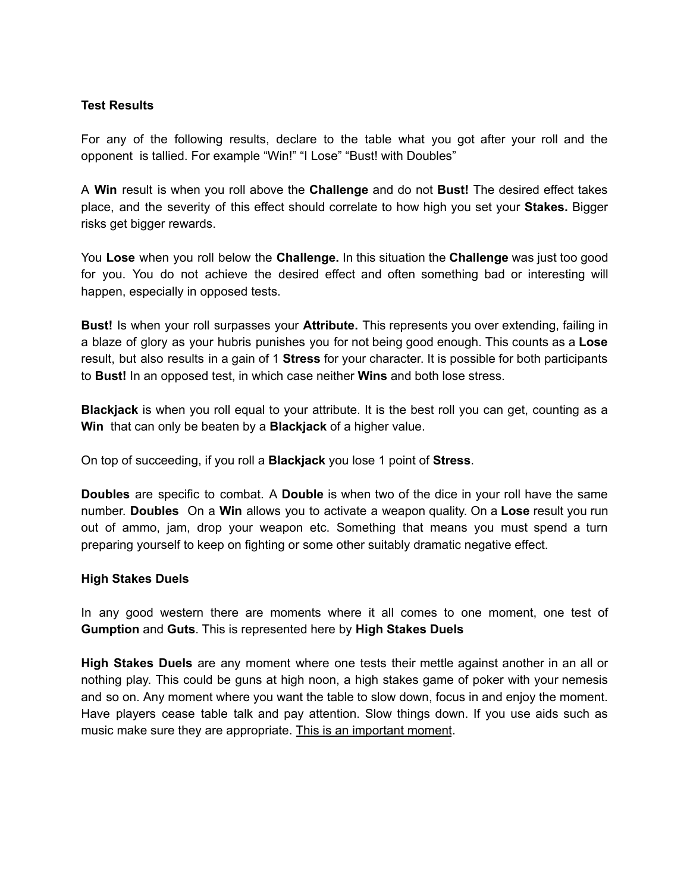# **Test Results**

For any of the following results, declare to the table what you got after your roll and the opponent is tallied. For example "Win!" "I Lose" "Bust! with Doubles"

A **Win** result is when you roll above the **Challenge** and do not **Bust!** The desired effect takes place, and the severity of this effect should correlate to how high you set your **Stakes.** Bigger risks get bigger rewards.

You **Lose** when you roll below the **Challenge.** In this situation the **Challenge** was just too good for you. You do not achieve the desired effect and often something bad or interesting will happen, especially in opposed tests.

**Bust!** Is when your roll surpasses your **Attribute.** This represents you over extending, failing in a blaze of glory as your hubris punishes you for not being good enough. This counts as a **Lose** result, but also results in a gain of 1 **Stress** for your character. It is possible for both participants to **Bust!** In an opposed test, in which case neither **Wins** and both lose stress.

**Blackjack** is when you roll equal to your attribute. It is the best roll you can get, counting as a **Win** that can only be beaten by a **Blackjack** of a higher value.

On top of succeeding, if you roll a **Blackjack** you lose 1 point of **Stress**.

**Doubles** are specific to combat. A **Double** is when two of the dice in your roll have the same number. **Doubles** On a **Win** allows you to activate a weapon quality. On a **Lose** result you run out of ammo, jam, drop your weapon etc. Something that means you must spend a turn preparing yourself to keep on fighting or some other suitably dramatic negative effect.

## **High Stakes Duels**

In any good western there are moments where it all comes to one moment, one test of **Gumption** and **Guts**. This is represented here by **High Stakes Duels**

**High Stakes Duels** are any moment where one tests their mettle against another in an all or nothing play. This could be guns at high noon, a high stakes game of poker with your nemesis and so on. Any moment where you want the table to slow down, focus in and enjoy the moment. Have players cease table talk and pay attention. Slow things down. If you use aids such as music make sure they are appropriate. This is an important moment.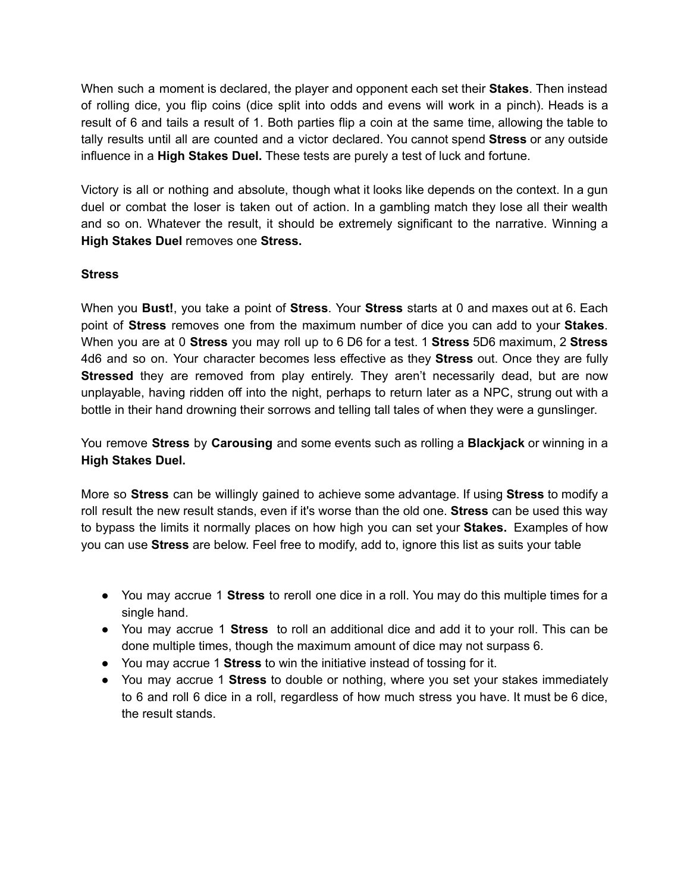When such a moment is declared, the player and opponent each set their **Stakes**. Then instead of rolling dice, you flip coins (dice split into odds and evens will work in a pinch). Heads is a result of 6 and tails a result of 1. Both parties flip a coin at the same time, allowing the table to tally results until all are counted and a victor declared. You cannot spend **Stress** or any outside influence in a **High Stakes Duel.** These tests are purely a test of luck and fortune.

Victory is all or nothing and absolute, though what it looks like depends on the context. In a gun duel or combat the loser is taken out of action. In a gambling match they lose all their wealth and so on. Whatever the result, it should be extremely significant to the narrative. Winning a **High Stakes Duel** removes one **Stress.**

# **Stress**

When you **Bust!**, you take a point of **Stress**. Your **Stress** starts at 0 and maxes out at 6. Each point of **Stress** removes one from the maximum number of dice you can add to your **Stakes**. When you are at 0 **Stress** you may roll up to 6 D6 for a test. 1 **Stress** 5D6 maximum, 2 **Stress** 4d6 and so on. Your character becomes less effective as they **Stress** out. Once they are fully **Stressed** they are removed from play entirely. They aren't necessarily dead, but are now unplayable, having ridden off into the night, perhaps to return later as a NPC, strung out with a bottle in their hand drowning their sorrows and telling tall tales of when they were a gunslinger.

You remove **Stress** by **Carousing** and some events such as rolling a **Blackjack** or winning in a **High Stakes Duel.**

More so **Stress** can be willingly gained to achieve some advantage. If using **Stress** to modify a roll result the new result stands, even if it's worse than the old one. **Stress** can be used this way to bypass the limits it normally places on how high you can set your **Stakes.** Examples of how you can use **Stress** are below. Feel free to modify, add to, ignore this list as suits your table

- You may accrue 1 **Stress** to reroll one dice in a roll. You may do this multiple times for a single hand.
- You may accrue 1 **Stress** to roll an additional dice and add it to your roll. This can be done multiple times, though the maximum amount of dice may not surpass 6.
- You may accrue 1 **Stress** to win the initiative instead of tossing for it.
- You may accrue 1 **Stress** to double or nothing, where you set your stakes immediately to 6 and roll 6 dice in a roll, regardless of how much stress you have. It must be 6 dice, the result stands.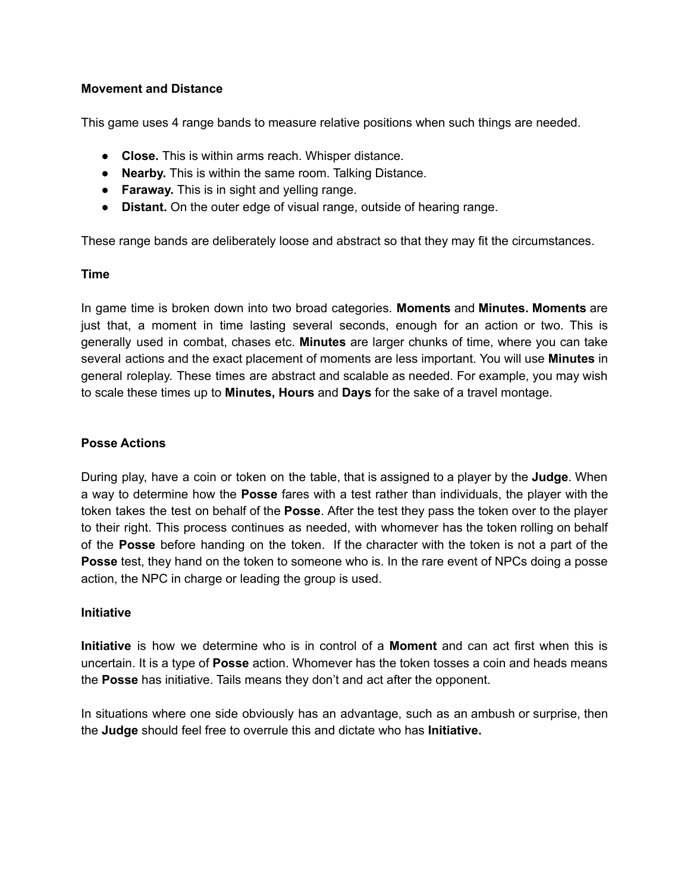# **Movement and Distance**

This game uses 4 range bands to measure relative positions when such things are needed.

- **Close.** This is within arms reach. Whisper distance.
- **Nearby.** This is within the same room. Talking Distance.
- **Faraway.** This is in sight and yelling range.
- **Distant.** On the outer edge of visual range, outside of hearing range.

These range bands are deliberately loose and abstract so that they may fit the circumstances.

## **Time**

In game time is broken down into two broad categories. **Moments** and **Minutes. Moments** are just that, a moment in time lasting several seconds, enough for an action or two. This is generally used in combat, chases etc. **Minutes** are larger chunks of time, where you can take several actions and the exact placement of moments are less important. You will use **Minutes** in general roleplay. These times are abstract and scalable as needed. For example, you may wish to scale these times up to **Minutes, Hours** and **Days** for the sake of a travel montage.

# **Posse Actions**

During play, have a coin or token on the table, that is assigned to a player by the **Judge**. When a way to determine how the **Posse** fares with a test rather than individuals, the player with the token takes the test on behalf of the **Posse**. After the test they pass the token over to the player to their right. This process continues as needed, with whomever has the token rolling on behalf of the **Posse** before handing on the token. If the character with the token is not a part of the **Posse** test, they hand on the token to someone who is. In the rare event of NPCs doing a posse action, the NPC in charge or leading the group is used.

## **Initiative**

**Initiative** is how we determine who is in control of a **Moment** and can act first when this is uncertain. It is a type of **Posse** action. Whomever has the token tosses a coin and heads means the **Posse** has initiative. Tails means they don't and act after the opponent.

In situations where one side obviously has an advantage, such as an ambush or surprise, then the **Judge** should feel free to overrule this and dictate who has **Initiative.**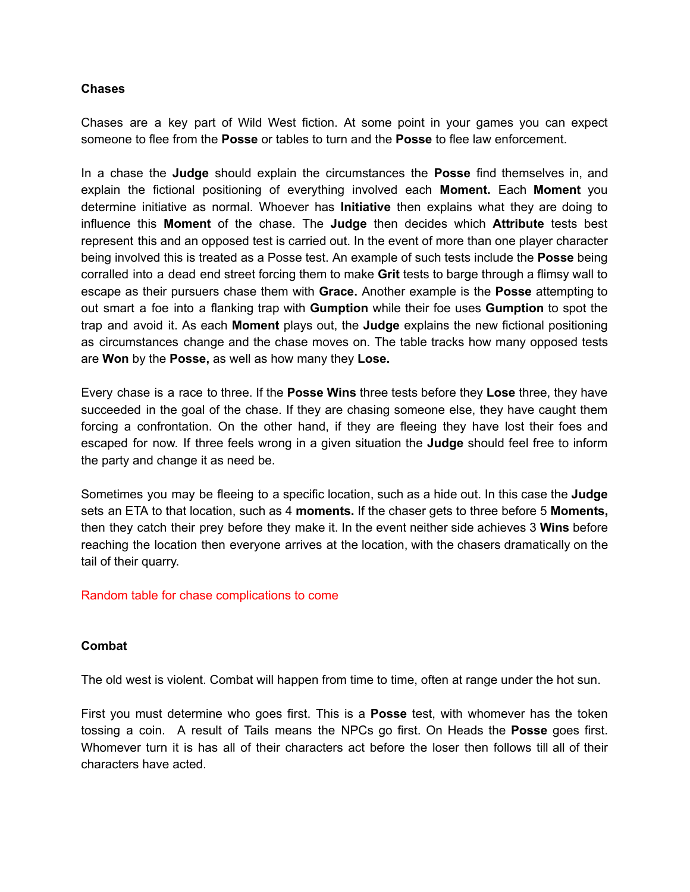## **Chases**

Chases are a key part of Wild West fiction. At some point in your games you can expect someone to flee from the **Posse** or tables to turn and the **Posse** to flee law enforcement.

In a chase the **Judge** should explain the circumstances the **Posse** find themselves in, and explain the fictional positioning of everything involved each **Moment.** Each **Moment** you determine initiative as normal. Whoever has **Initiative** then explains what they are doing to influence this **Moment** of the chase. The **Judge** then decides which **Attribute** tests best represent this and an opposed test is carried out. In the event of more than one player character being involved this is treated as a Posse test. An example of such tests include the **Posse** being corralled into a dead end street forcing them to make **Grit** tests to barge through a flimsy wall to escape as their pursuers chase them with **Grace.** Another example is the **Posse** attempting to out smart a foe into a flanking trap with **Gumption** while their foe uses **Gumption** to spot the trap and avoid it. As each **Moment** plays out, the **Judge** explains the new fictional positioning as circumstances change and the chase moves on. The table tracks how many opposed tests are **Won** by the **Posse,** as well as how many they **Lose.**

Every chase is a race to three. If the **Posse Wins** three tests before they **Lose** three, they have succeeded in the goal of the chase. If they are chasing someone else, they have caught them forcing a confrontation. On the other hand, if they are fleeing they have lost their foes and escaped for now. If three feels wrong in a given situation the **Judge** should feel free to inform the party and change it as need be.

Sometimes you may be fleeing to a specific location, such as a hide out. In this case the **Judge** sets an ETA to that location, such as 4 **moments.** If the chaser gets to three before 5 **Moments,** then they catch their prey before they make it. In the event neither side achieves 3 **Wins** before reaching the location then everyone arrives at the location, with the chasers dramatically on the tail of their quarry.

#### Random table for chase complications to come

#### **Combat**

The old west is violent. Combat will happen from time to time, often at range under the hot sun.

First you must determine who goes first. This is a **Posse** test, with whomever has the token tossing a coin. A result of Tails means the NPCs go first. On Heads the **Posse** goes first. Whomever turn it is has all of their characters act before the loser then follows till all of their characters have acted.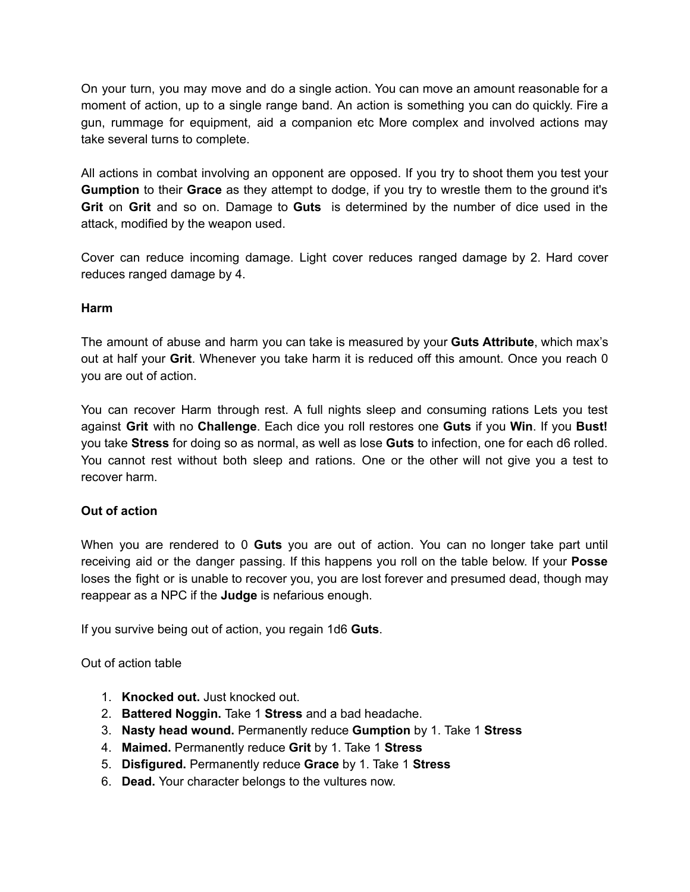On your turn, you may move and do a single action. You can move an amount reasonable for a moment of action, up to a single range band. An action is something you can do quickly. Fire a gun, rummage for equipment, aid a companion etc More complex and involved actions may take several turns to complete.

All actions in combat involving an opponent are opposed. If you try to shoot them you test your **Gumption** to their **Grace** as they attempt to dodge, if you try to wrestle them to the ground it's **Grit** on **Grit** and so on. Damage to **Guts** is determined by the number of dice used in the attack, modified by the weapon used.

Cover can reduce incoming damage. Light cover reduces ranged damage by 2. Hard cover reduces ranged damage by 4.

## **Harm**

The amount of abuse and harm you can take is measured by your **Guts Attribute**, which max's out at half your **Grit**. Whenever you take harm it is reduced off this amount. Once you reach 0 you are out of action.

You can recover Harm through rest. A full nights sleep and consuming rations Lets you test against **Grit** with no **Challenge**. Each dice you roll restores one **Guts** if you **Win**. If you **Bust!** you take **Stress** for doing so as normal, as well as lose **Guts** to infection, one for each d6 rolled. You cannot rest without both sleep and rations. One or the other will not give you a test to recover harm.

## **Out of action**

When you are rendered to 0 **Guts** you are out of action. You can no longer take part until receiving aid or the danger passing. If this happens you roll on the table below. If your **Posse** loses the fight or is unable to recover you, you are lost forever and presumed dead, though may reappear as a NPC if the **Judge** is nefarious enough.

If you survive being out of action, you regain 1d6 **Guts**.

Out of action table

- 1. **Knocked out.** Just knocked out.
- 2. **Battered Noggin.** Take 1 **Stress** and a bad headache.
- 3. **Nasty head wound.** Permanently reduce **Gumption** by 1. Take 1 **Stress**
- 4. **Maimed.** Permanently reduce **Grit** by 1. Take 1 **Stress**
- 5. **Disfigured.** Permanently reduce **Grace** by 1. Take 1 **Stress**
- 6. **Dead.** Your character belongs to the vultures now.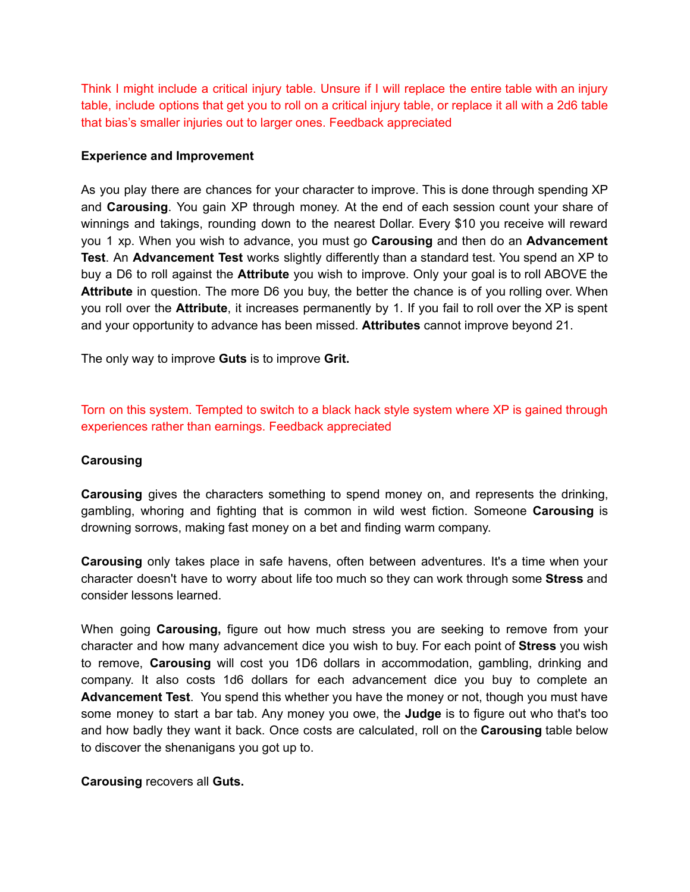Think I might include a critical injury table. Unsure if I will replace the entire table with an injury table, include options that get you to roll on a critical injury table, or replace it all with a 2d6 table that bias's smaller injuries out to larger ones. Feedback appreciated

## **Experience and Improvement**

As you play there are chances for your character to improve. This is done through spending XP and **Carousing**. You gain XP through money. At the end of each session count your share of winnings and takings, rounding down to the nearest Dollar. Every \$10 you receive will reward you 1 xp. When you wish to advance, you must go **Carousing** and then do an **Advancement Test**. An **Advancement Test** works slightly differently than a standard test. You spend an XP to buy a D6 to roll against the **Attribute** you wish to improve. Only your goal is to roll ABOVE the **Attribute** in question. The more D6 you buy, the better the chance is of you rolling over. When you roll over the **Attribute**, it increases permanently by 1. If you fail to roll over the XP is spent and your opportunity to advance has been missed. **Attributes** cannot improve beyond 21.

The only way to improve **Guts** is to improve **Grit.**

Torn on this system. Tempted to switch to a black hack style system where XP is gained through experiences rather than earnings. Feedback appreciated

#### **Carousing**

**Carousing** gives the characters something to spend money on, and represents the drinking, gambling, whoring and fighting that is common in wild west fiction. Someone **Carousing** is drowning sorrows, making fast money on a bet and finding warm company.

**Carousing** only takes place in safe havens, often between adventures. It's a time when your character doesn't have to worry about life too much so they can work through some **Stress** and consider lessons learned.

When going **Carousing,** figure out how much stress you are seeking to remove from your character and how many advancement dice you wish to buy. For each point of **Stress** you wish to remove, **Carousing** will cost you 1D6 dollars in accommodation, gambling, drinking and company. It also costs 1d6 dollars for each advancement dice you buy to complete an **Advancement Test**. You spend this whether you have the money or not, though you must have some money to start a bar tab. Any money you owe, the **Judge** is to figure out who that's too and how badly they want it back. Once costs are calculated, roll on the **Carousing** table below to discover the shenanigans you got up to.

#### **Carousing** recovers all **Guts.**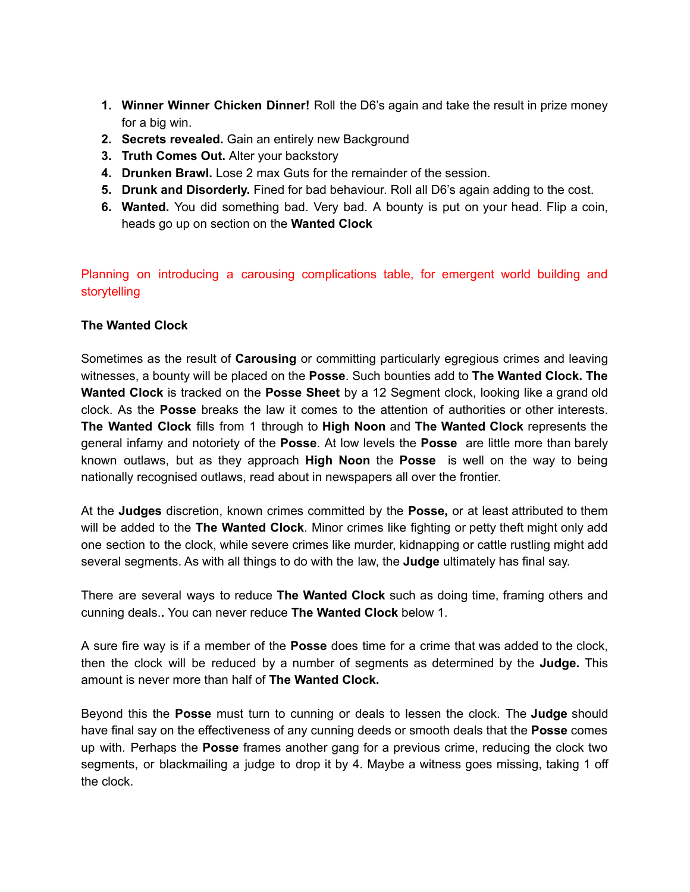- **1. Winner Winner Chicken Dinner!** Roll the D6's again and take the result in prize money for a big win.
- **2. Secrets revealed.** Gain an entirely new Background
- **3. Truth Comes Out.** Alter your backstory
- **4. Drunken Brawl.** Lose 2 max Guts for the remainder of the session.
- **5. Drunk and Disorderly.** Fined for bad behaviour. Roll all D6's again adding to the cost.
- **6. Wanted.** You did something bad. Very bad. A bounty is put on your head. Flip a coin, heads go up on section on the **Wanted Clock**

Planning on introducing a carousing complications table, for emergent world building and storytelling

## **The Wanted Clock**

Sometimes as the result of **Carousing** or committing particularly egregious crimes and leaving witnesses, a bounty will be placed on the **Posse**. Such bounties add to **The Wanted Clock. The Wanted Clock** is tracked on the **Posse Sheet** by a 12 Segment clock, looking like a grand old clock. As the **Posse** breaks the law it comes to the attention of authorities or other interests. **The Wanted Clock** fills from 1 through to **High Noon** and **The Wanted Clock** represents the general infamy and notoriety of the **Posse**. At low levels the **Posse** are little more than barely known outlaws, but as they approach **High Noon** the **Posse** is well on the way to being nationally recognised outlaws, read about in newspapers all over the frontier.

At the **Judges** discretion, known crimes committed by the **Posse,** or at least attributed to them will be added to the **The Wanted Clock**. Minor crimes like fighting or petty theft might only add one section to the clock, while severe crimes like murder, kidnapping or cattle rustling might add several segments. As with all things to do with the law, the **Judge** ultimately has final say.

There are several ways to reduce **The Wanted Clock** such as doing time, framing others and cunning deals.**.** You can never reduce **The Wanted Clock** below 1.

A sure fire way is if a member of the **Posse** does time for a crime that was added to the clock, then the clock will be reduced by a number of segments as determined by the **Judge.** This amount is never more than half of **The Wanted Clock.**

Beyond this the **Posse** must turn to cunning or deals to lessen the clock. The **Judge** should have final say on the effectiveness of any cunning deeds or smooth deals that the **Posse** comes up with. Perhaps the **Posse** frames another gang for a previous crime, reducing the clock two segments, or blackmailing a judge to drop it by 4. Maybe a witness goes missing, taking 1 off the clock.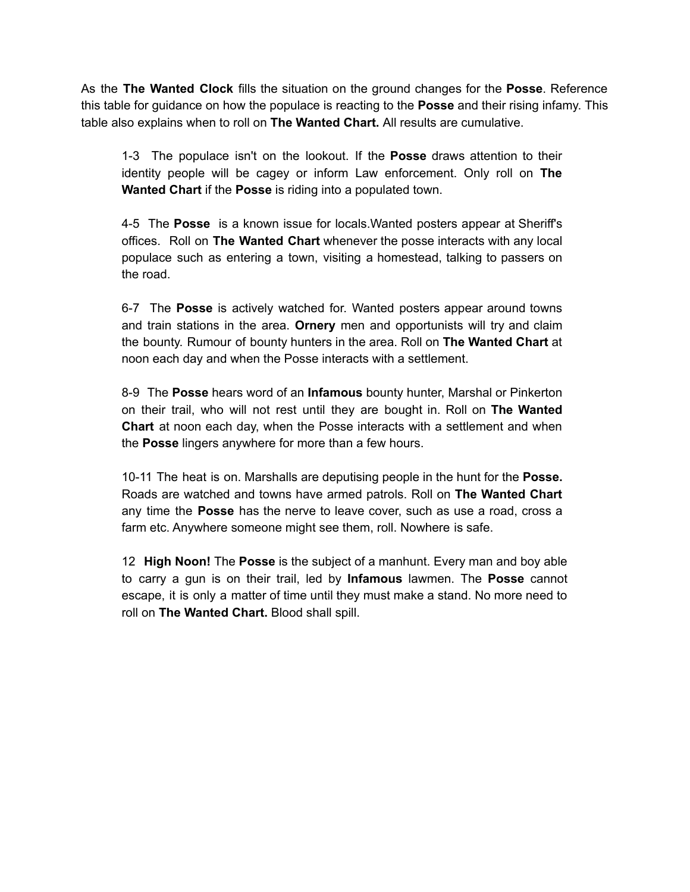As the **The Wanted Clock** fills the situation on the ground changes for the **Posse**. Reference this table for guidance on how the populace is reacting to the **Posse** and their rising infamy. This table also explains when to roll on **The Wanted Chart.** All results are cumulative.

1-3 The populace isn't on the lookout. If the **Posse** draws attention to their identity people will be cagey or inform Law enforcement. Only roll on **The Wanted Chart** if the **Posse** is riding into a populated town.

4-5 The **Posse** is a known issue for locals.Wanted posters appear at Sheriff's offices. Roll on **The Wanted Chart** whenever the posse interacts with any local populace such as entering a town, visiting a homestead, talking to passers on the road.

6-7 The **Posse** is actively watched for. Wanted posters appear around towns and train stations in the area. **Ornery** men and opportunists will try and claim the bounty. Rumour of bounty hunters in the area. Roll on **The Wanted Chart** at noon each day and when the Posse interacts with a settlement.

8-9 The **Posse** hears word of an **Infamous** bounty hunter, Marshal or Pinkerton on their trail, who will not rest until they are bought in. Roll on **The Wanted Chart** at noon each day, when the Posse interacts with a settlement and when the **Posse** lingers anywhere for more than a few hours.

10-11 The heat is on. Marshalls are deputising people in the hunt for the **Posse.** Roads are watched and towns have armed patrols. Roll on **The Wanted Chart** any time the **Posse** has the nerve to leave cover, such as use a road, cross a farm etc. Anywhere someone might see them, roll. Nowhere is safe.

12 **High Noon!** The **Posse** is the subject of a manhunt. Every man and boy able to carry a gun is on their trail, led by **Infamous** lawmen. The **Posse** cannot escape, it is only a matter of time until they must make a stand. No more need to roll on **The Wanted Chart.** Blood shall spill.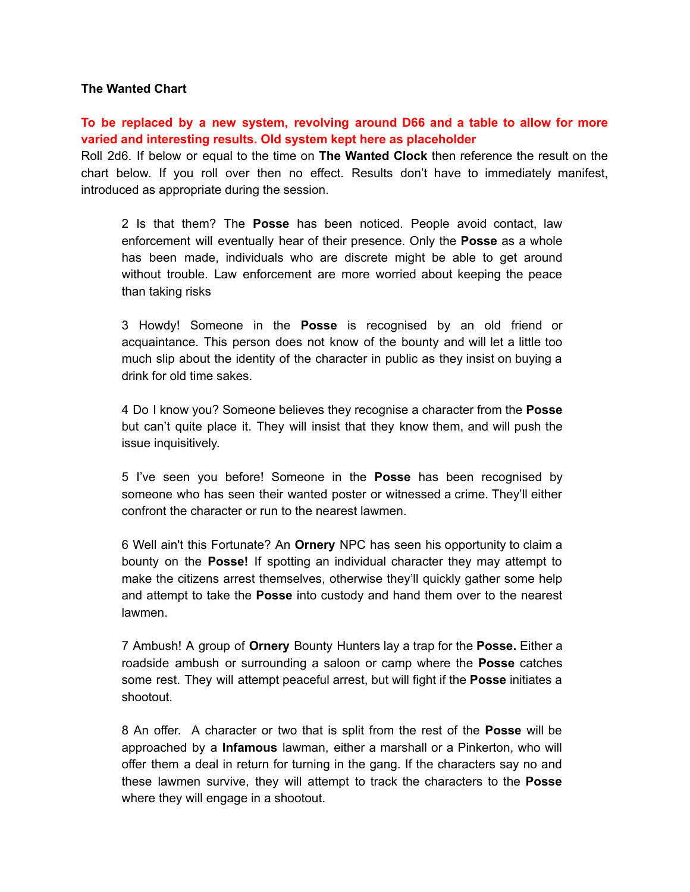## **The Wanted Chart**

# **To be replaced by a new system, revolving around D66 and a table to allow for more varied and interesting results. Old system kept here as placeholder**

Roll 2d6. If below or equal to the time on **The Wanted Clock** then reference the result on the chart below. If you roll over then no effect. Results don't have to immediately manifest, introduced as appropriate during the session.

2 Is that them? The **Posse** has been noticed. People avoid contact, law enforcement will eventually hear of their presence. Only the **Posse** as a whole has been made, individuals who are discrete might be able to get around without trouble. Law enforcement are more worried about keeping the peace than taking risks

3 Howdy! Someone in the **Posse** is recognised by an old friend or acquaintance. This person does not know of the bounty and will let a little too much slip about the identity of the character in public as they insist on buying a drink for old time sakes.

4 Do I know you? Someone believes they recognise a character from the **Posse** but can't quite place it. They will insist that they know them, and will push the issue inquisitively.

5 I've seen you before! Someone in the **Posse** has been recognised by someone who has seen their wanted poster or witnessed a crime. They'll either confront the character or run to the nearest lawmen.

6 Well ain't this Fortunate? An **Ornery** NPC has seen his opportunity to claim a bounty on the **Posse!** If spotting an individual character they may attempt to make the citizens arrest themselves, otherwise they'll quickly gather some help and attempt to take the **Posse** into custody and hand them over to the nearest lawmen.

7 Ambush! A group of **Ornery** Bounty Hunters lay a trap for the **Posse.** Either a roadside ambush or surrounding a saloon or camp where the **Posse** catches some rest. They will attempt peaceful arrest, but will fight if the **Posse** initiates a shootout.

8 An offer. A character or two that is split from the rest of the **Posse** will be approached by a **Infamous** lawman, either a marshall or a Pinkerton, who will offer them a deal in return for turning in the gang. If the characters say no and these lawmen survive, they will attempt to track the characters to the **Posse** where they will engage in a shootout.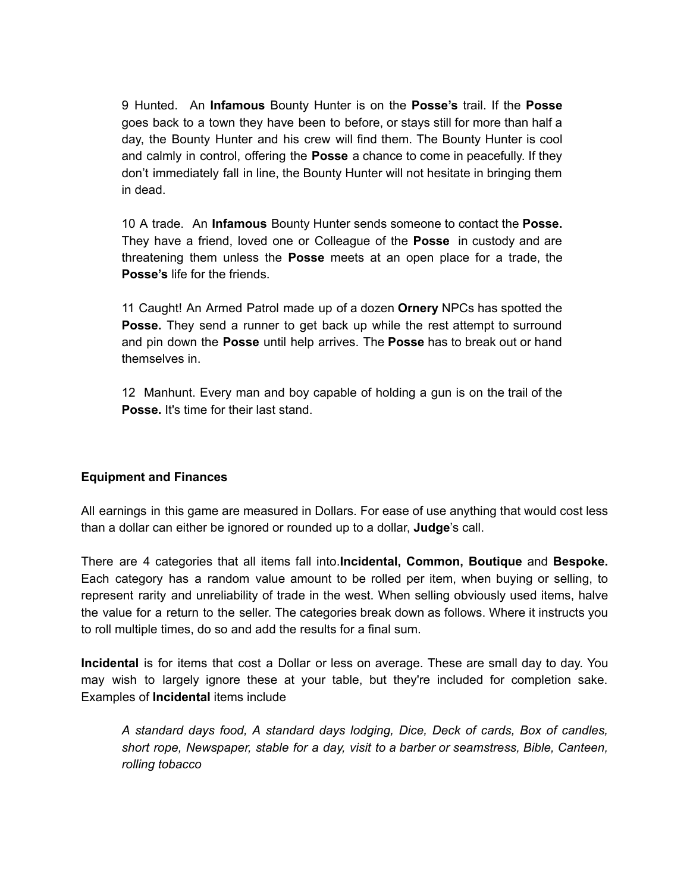9 Hunted. An **Infamous** Bounty Hunter is on the **Posse's** trail. If the **Posse** goes back to a town they have been to before, or stays still for more than half a day, the Bounty Hunter and his crew will find them. The Bounty Hunter is cool and calmly in control, offering the **Posse** a chance to come in peacefully. If they don't immediately fall in line, the Bounty Hunter will not hesitate in bringing them in dead.

10 A trade. An **Infamous** Bounty Hunter sends someone to contact the **Posse.** They have a friend, loved one or Colleague of the **Posse** in custody and are threatening them unless the **Posse** meets at an open place for a trade, the **Posse's** life for the friends.

11 Caught! An Armed Patrol made up of a dozen **Ornery** NPCs has spotted the **Posse.** They send a runner to get back up while the rest attempt to surround and pin down the **Posse** until help arrives. The **Posse** has to break out or hand themselves in.

12 Manhunt. Every man and boy capable of holding a gun is on the trail of the **Posse.** It's time for their last stand.

## **Equipment and Finances**

All earnings in this game are measured in Dollars. For ease of use anything that would cost less than a dollar can either be ignored or rounded up to a dollar, **Judge**'s call.

There are 4 categories that all items fall into.**Incidental, Common, Boutique** and **Bespoke.** Each category has a random value amount to be rolled per item, when buying or selling, to represent rarity and unreliability of trade in the west. When selling obviously used items, halve the value for a return to the seller. The categories break down as follows. Where it instructs you to roll multiple times, do so and add the results for a final sum.

**Incidental** is for items that cost a Dollar or less on average. These are small day to day. You may wish to largely ignore these at your table, but they're included for completion sake. Examples of **Incidental** items include

*A standard days food, A standard days lodging, Dice, Deck of cards, Box of candles, short rope, Newspaper, stable for a day, visit to a barber or seamstress, Bible, Canteen, rolling tobacco*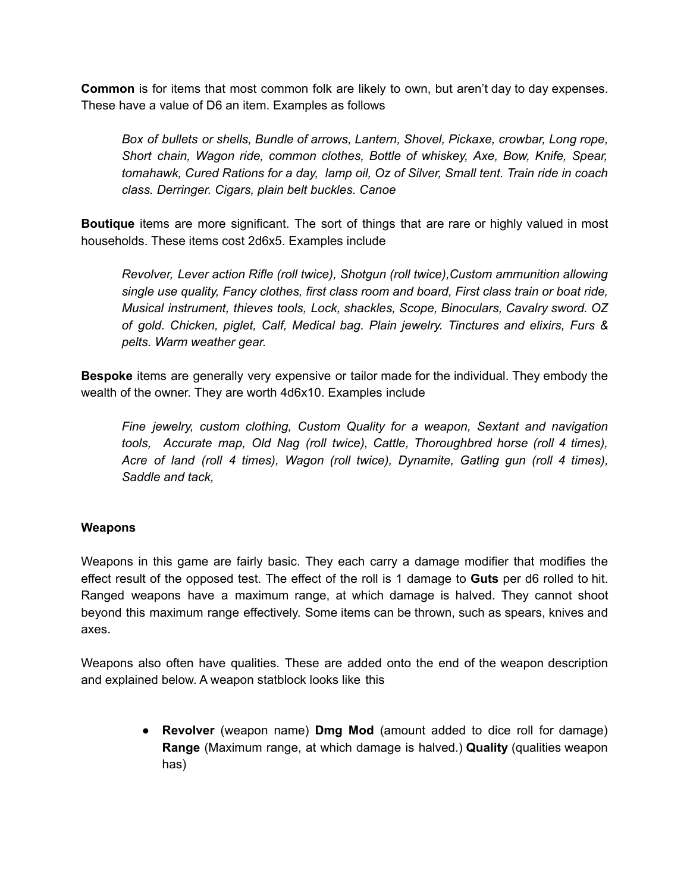**Common** is for items that most common folk are likely to own, but aren't day to day expenses. These have a value of D6 an item. Examples as follows

*Box of bullets or shells, Bundle of arrows, Lantern, Shovel, Pickaxe, crowbar, Long rope, Short chain, Wagon ride, common clothes, Bottle of whiskey, Axe, Bow, Knife, Spear, tomahawk, Cured Rations for a day, lamp oil, Oz of Silver, Small tent. Train ride in coach class. Derringer. Cigars, plain belt buckles. Canoe*

**Boutique** items are more significant. The sort of things that are rare or highly valued in most households. These items cost 2d6x5. Examples include

*Revolver, Lever action Rifle (roll twice), Shotgun (roll twice),Custom ammunition allowing single use quality, Fancy clothes, first class room and board, First class train or boat ride, Musical instrument, thieves tools, Lock, shackles, Scope, Binoculars, Cavalry sword. OZ of gold. Chicken, piglet, Calf, Medical bag. Plain jewelry. Tinctures and elixirs, Furs & pelts. Warm weather gear.*

**Bespoke** items are generally very expensive or tailor made for the individual. They embody the wealth of the owner. They are worth 4d6x10. Examples include

*Fine jewelry, custom clothing, Custom Quality for a weapon, Sextant and navigation tools, Accurate map, Old Nag (roll twice), Cattle, Thoroughbred horse (roll 4 times), Acre of land (roll 4 times), Wagon (roll twice), Dynamite, Gatling gun (roll 4 times), Saddle and tack,*

# **Weapons**

Weapons in this game are fairly basic. They each carry a damage modifier that modifies the effect result of the opposed test. The effect of the roll is 1 damage to **Guts** per d6 rolled to hit. Ranged weapons have a maximum range, at which damage is halved. They cannot shoot beyond this maximum range effectively. Some items can be thrown, such as spears, knives and axes.

Weapons also often have qualities. These are added onto the end of the weapon description and explained below. A weapon statblock looks like this

> ● **Revolver** (weapon name) **Dmg Mod** (amount added to dice roll for damage) **Range** (Maximum range, at which damage is halved.) **Quality** (qualities weapon has)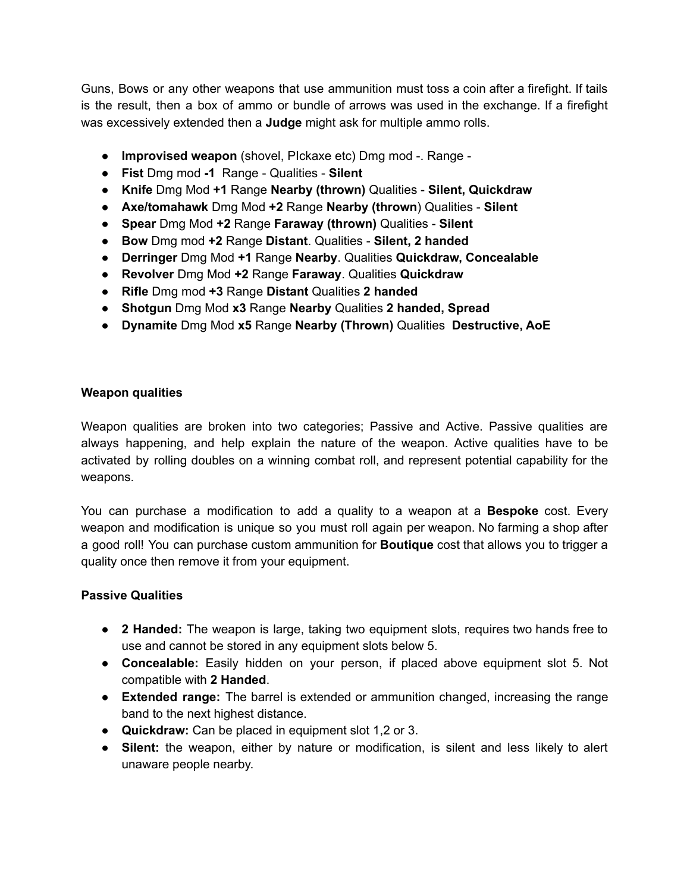Guns, Bows or any other weapons that use ammunition must toss a coin after a firefight. If tails is the result, then a box of ammo or bundle of arrows was used in the exchange. If a firefight was excessively extended then a **Judge** might ask for multiple ammo rolls.

- **Improvised weapon** (shovel, PIckaxe etc) Dmg mod -. Range -
- **Fist** Dmg mod **-1** Range Qualities **Silent**
- **Knife** Dmg Mod **+1** Range **Nearby (thrown)** Qualities **Silent, Quickdraw**
- **Axe/tomahawk** Dmg Mod **+2** Range **Nearby (thrown**) Qualities **Silent**
- **Spear** Dmg Mod **+2** Range **Faraway (thrown)** Qualities **Silent**
- **Bow** Dmg mod **+2** Range **Distant**. Qualities **Silent, 2 handed**
- **Derringer** Dmg Mod **+1** Range **Nearby**. Qualities **Quickdraw, Concealable**
- **Revolver** Dmg Mod **+2** Range **Faraway**. Qualities **Quickdraw**
- **Rifle** Dmg mod **+3** Range **Distant** Qualities **2 handed**
- **Shotgun** Dmg Mod **x3** Range **Nearby** Qualities **2 handed, Spread**
- **Dynamite** Dmg Mod **x5** Range **Nearby (Thrown)** Qualities **Destructive, AoE**

# **Weapon qualities**

Weapon qualities are broken into two categories; Passive and Active. Passive qualities are always happening, and help explain the nature of the weapon. Active qualities have to be activated by rolling doubles on a winning combat roll, and represent potential capability for the weapons.

You can purchase a modification to add a quality to a weapon at a **Bespoke** cost. Every weapon and modification is unique so you must roll again per weapon. No farming a shop after a good roll! You can purchase custom ammunition for **Boutique** cost that allows you to trigger a quality once then remove it from your equipment.

## **Passive Qualities**

- **● 2 Handed:** The weapon is large, taking two equipment slots, requires two hands free to use and cannot be stored in any equipment slots below 5.
- **● Concealable:** Easily hidden on your person, if placed above equipment slot 5. Not compatible with **2 Handed**.
- **● Extended range:** The barrel is extended or ammunition changed, increasing the range band to the next highest distance.
- **● Quickdraw:** Can be placed in equipment slot 1,2 or 3.
- **Silent:** the weapon, either by nature or modification, is silent and less likely to alert unaware people nearby.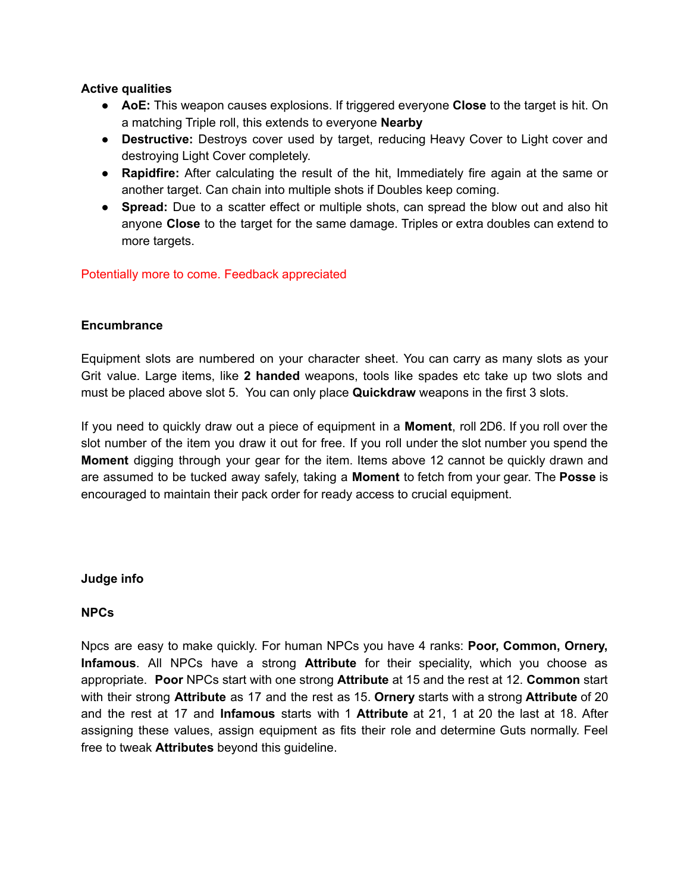# **Active qualities**

- **● AoE:** This weapon causes explosions. If triggered everyone **Close** to the target is hit. On a matching Triple roll, this extends to everyone **Nearby**
- **● Destructive:** Destroys cover used by target, reducing Heavy Cover to Light cover and destroying Light Cover completely.
- **● Rapidfire:** After calculating the result of the hit, Immediately fire again at the same or another target. Can chain into multiple shots if Doubles keep coming.
- **● Spread:** Due to a scatter effect or multiple shots, can spread the blow out and also hit anyone **Close** to the target for the same damage. Triples or extra doubles can extend to more targets.

# Potentially more to come. Feedback appreciated

# **Encumbrance**

Equipment slots are numbered on your character sheet. You can carry as many slots as your Grit value. Large items, like **2 handed** weapons, tools like spades etc take up two slots and must be placed above slot 5. You can only place **Quickdraw** weapons in the first 3 slots.

If you need to quickly draw out a piece of equipment in a **Moment**, roll 2D6. If you roll over the slot number of the item you draw it out for free. If you roll under the slot number you spend the **Moment** digging through your gear for the item. Items above 12 cannot be quickly drawn and are assumed to be tucked away safely, taking a **Moment** to fetch from your gear. The **Posse** is encouraged to maintain their pack order for ready access to crucial equipment.

## **Judge info**

# **NPCs**

Npcs are easy to make quickly. For human NPCs you have 4 ranks: **Poor, Common, Ornery, Infamous**. All NPCs have a strong **Attribute** for their speciality, which you choose as appropriate. **Poor** NPCs start with one strong **Attribute** at 15 and the rest at 12. **Common** start with their strong **Attribute** as 17 and the rest as 15. **Ornery** starts with a strong **Attribute** of 20 and the rest at 17 and **Infamous** starts with 1 **Attribute** at 21, 1 at 20 the last at 18. After assigning these values, assign equipment as fits their role and determine Guts normally. Feel free to tweak **Attributes** beyond this guideline.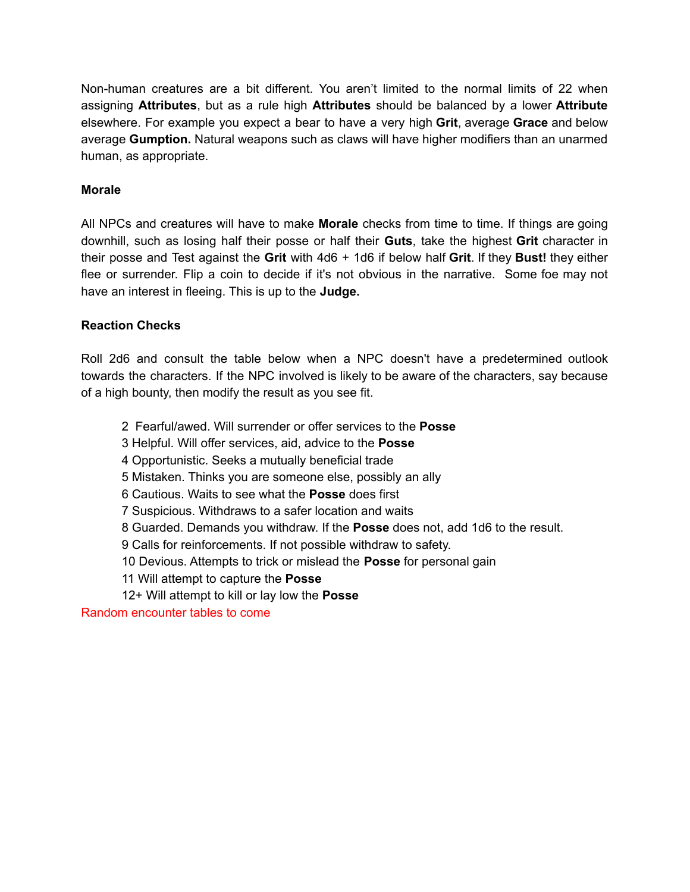Non-human creatures are a bit different. You aren't limited to the normal limits of 22 when assigning **Attributes**, but as a rule high **Attributes** should be balanced by a lower **Attribute** elsewhere. For example you expect a bear to have a very high **Grit**, average **Grace** and below average **Gumption.** Natural weapons such as claws will have higher modifiers than an unarmed human, as appropriate.

# **Morale**

All NPCs and creatures will have to make **Morale** checks from time to time. If things are going downhill, such as losing half their posse or half their **Guts**, take the highest **Grit** character in their posse and Test against the **Grit** with 4d6 + 1d6 if below half **Grit**. If they **Bust!** they either flee or surrender. Flip a coin to decide if it's not obvious in the narrative. Some foe may not have an interest in fleeing. This is up to the **Judge.**

# **Reaction Checks**

Roll 2d6 and consult the table below when a NPC doesn't have a predetermined outlook towards the characters. If the NPC involved is likely to be aware of the characters, say because of a high bounty, then modify the result as you see fit.

2 Fearful/awed. Will surrender or offer services to the **Posse**

3 Helpful. Will offer services, aid, advice to the **Posse**

4 Opportunistic. Seeks a mutually beneficial trade

5 Mistaken. Thinks you are someone else, possibly an ally

6 Cautious. Waits to see what the **Posse** does first

7 Suspicious. Withdraws to a safer location and waits

8 Guarded. Demands you withdraw. If the **Posse** does not, add 1d6 to the result.

9 Calls for reinforcements. If not possible withdraw to safety.

10 Devious. Attempts to trick or mislead the **Posse** for personal gain

11 Will attempt to capture the **Posse**

12+ Will attempt to kill or lay low the **Posse**

Random encounter tables to come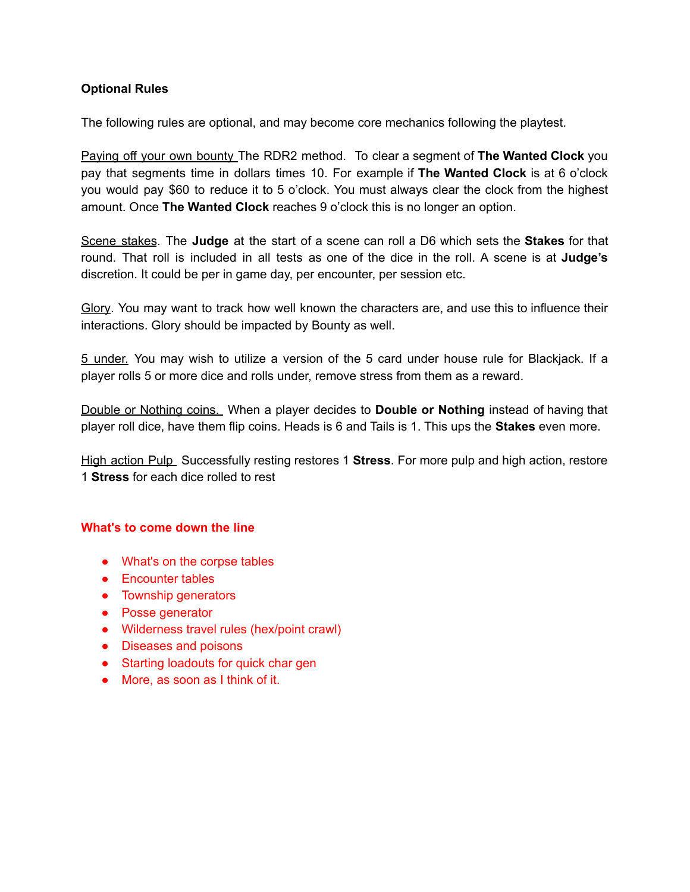# **Optional Rules**

The following rules are optional, and may become core mechanics following the playtest.

Paying off your own bounty The RDR2 method. To clear a segment of **The Wanted Clock** you pay that segments time in dollars times 10. For example if **The Wanted Clock** is at 6 o'clock you would pay \$60 to reduce it to 5 o'clock. You must always clear the clock from the highest amount. Once **The Wanted Clock** reaches 9 o'clock this is no longer an option.

Scene stakes. The **Judge** at the start of a scene can roll a D6 which sets the **Stakes** for that round. That roll is included in all tests as one of the dice in the roll. A scene is at **Judge's** discretion. It could be per in game day, per encounter, per session etc.

Glory. You may want to track how well known the characters are, and use this to influence their interactions. Glory should be impacted by Bounty as well.

5 under. You may wish to utilize a version of the 5 card under house rule for Blackjack. If a player rolls 5 or more dice and rolls under, remove stress from them as a reward.

Double or Nothing coins. When a player decides to **Double or Nothing** instead of having that player roll dice, have them flip coins. Heads is 6 and Tails is 1. This ups the **Stakes** even more.

High action Pulp Successfully resting restores 1 **Stress**. For more pulp and high action, restore 1 **Stress** for each dice rolled to rest

#### **What's to come down the line**

- What's on the corpse tables
- Encounter tables
- Township generators
- Posse generator
- Wilderness travel rules (hex/point crawl)
- Diseases and poisons
- Starting loadouts for quick char gen
- More, as soon as I think of it.